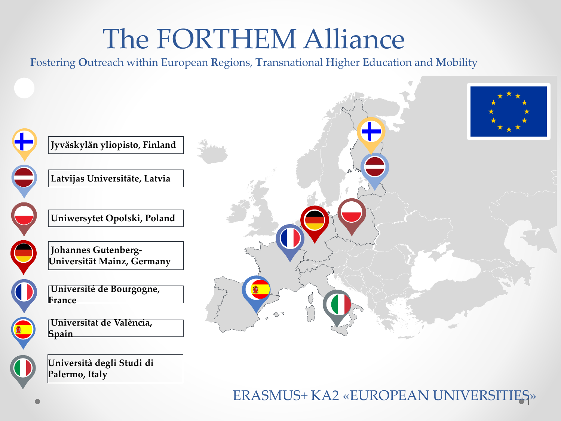### The FORTHEM Alliance

Fostering Outreach within European Regions, Transnational Higher Education and Mobility



#### ERASMUS+ KA2 «EUROPEAN UNIVERSITIES»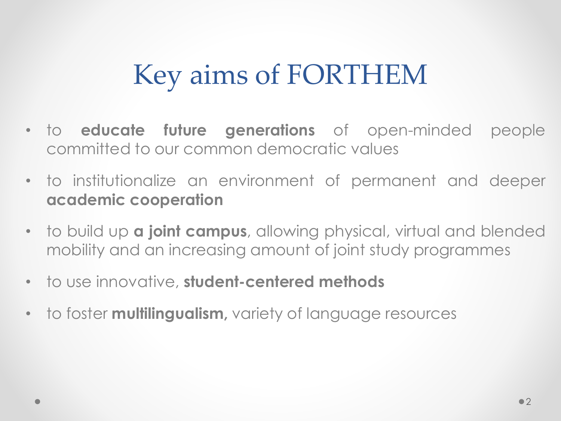### Key aims of FORTHEM

- to **educate future generations** of open-minded people committed to our common democratic values
- to institutionalize an environment of permanent and deeper **academic cooperation**
- to build up **a joint campus**, allowing physical, virtual and blended mobility and an increasing amount of joint study programmes
- to use innovative, **student-centered methods**
- to foster **multilingualism,** variety of language resources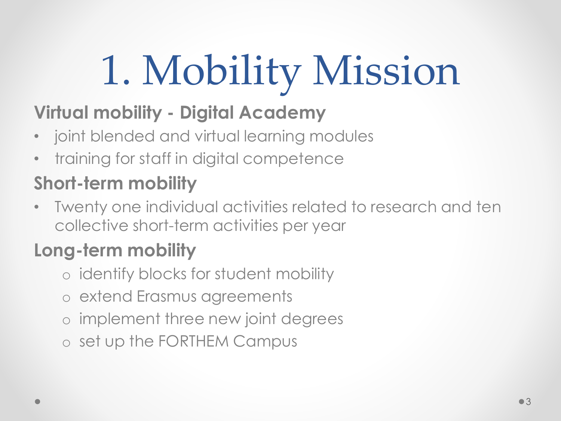# 1. Mobility Mission

#### **Virtual mobility - Digital Academy**

- joint blended and virtual learning modules
- training for staff in digital competence

### **Short-term mobility**

• Twenty one individual activities related to research and ten collective short-term activities per year

#### **Long-term mobility**

- o identify blocks for student mobility
- o extend Erasmus agreements
- o implement three new joint degrees
- o set up the FORTHEM Campus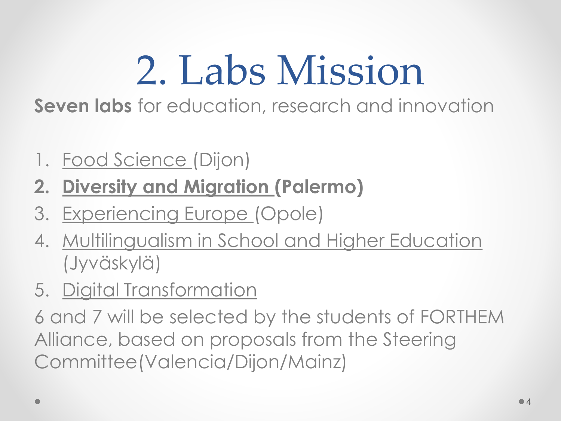### 2. Labs Mission

**Seven labs** for education, research and innovation

- 1. Food Science (Dijon)
- **2. Diversity and Migration (Palermo)**
- 3. Experiencing Europe (Opole)
- 4. Multilingualism in School and Higher Education (Jyväskylä)
- 5. Digital Transformation

6 and 7 will be selected by the students of FORTHEM Alliance, based on proposals from the Steering Committee(Valencia/Dijon/Mainz)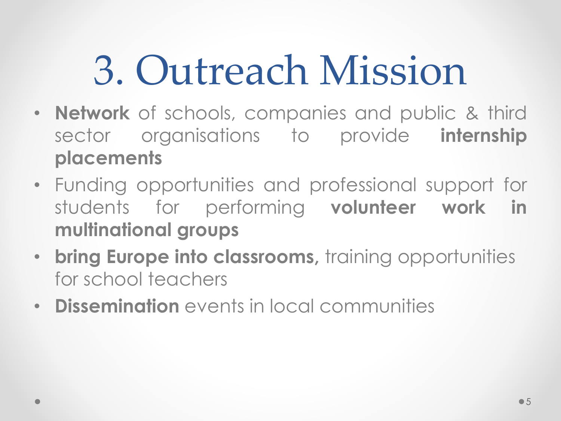# 3. Outreach Mission

- **Network** of schools, companies and public & third sector organisations to provide **internship placements**
- Funding opportunities and professional support for students for performing **volunteer work in multinational groups**
- **bring Europe into classrooms,** training opportunities for school teachers
- **Dissemination** events in local communities